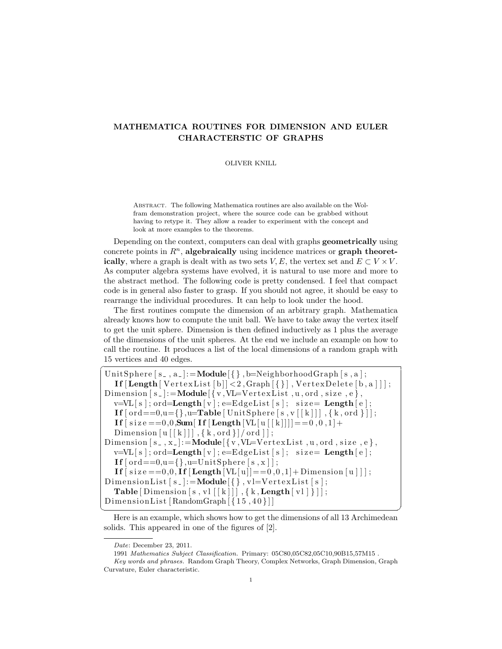## MATHEMATICA ROUTINES FOR DIMENSION AND EULER CHARACTERSTIC OF GRAPHS

## OLIVER KNILL

Abstract. The following Mathematica routines are also available on the Wolfram demonstration project, where the source code can be grabbed without having to retype it. They allow a reader to experiment with the concept and look at more examples to the theorems.

Depending on the context, computers can deal with graphs **geometrically** using concrete points in  $R<sup>n</sup>$ , algebraically using incidence matrices or graph theoretically, where a graph is dealt with as two sets V, E, the vertex set and  $E \subset V \times V$ . As computer algebra systems have evolved, it is natural to use more and more to the abstract method. The following code is pretty condensed. I feel that compact code is in general also faster to grasp. If you should not agree, it should be easy to rearrange the individual procedures. It can help to look under the hood.

The first routines compute the dimension of an arbitrary graph. Mathematica already knows how to compute the unit ball. We have to take away the vertex itself to get the unit sphere. Dimension is then defined inductively as 1 plus the average of the dimensions of the unit spheres. At the end we include an example on how to call the routine. It produces a list of the local dimensions of a random graph with  $15$  vertices and  $40$  edges.

```
UnitSphere [s_-, a_-]:=Module \{\}, b=NeighborhoodGraph [s, a];
   If \lceil \text{Length} \rceil Vertex List \lceil b \rceil \rceil < 2, Graph \lceil \{\}\rceil, Vertex Delete \lceil b, a \rceil \rceil;
Dimension [ s ]:=Module[ { v ,VL=V e r t e xLi s t , u , ord , s i z e , e } ,
   v=VL[s]; ord=Length [v]; e=EdgeList [s]; size=Length [e];
   If [\text{ord} == 0, u = {\}, u = \text{Table} \mid \text{UnitSphere} \mid s, v \mid [k]], \{k, \text{ord}\}\mid;
   If [size == 0, 0, Sum[ If [Length[VI[u][k]]] == 0, 0, 1] +Dimension [u[[k]]], \{k, \text{ord}\} / ord \}|;
Dimension [s_-,x_-]:=\text{Module}[\{v,\text{VL}=V\text{ertexList}\},u,\text{ord},\text{size},e\},v=VL[s]; ord=Length [v]; e=EdgeList [s]; size=Length [e];
   \mathbf{If} \left[ \text{ord} = 0, u = \{ \}, u = \text{UnitSphere} \left[ \text{s}, \text{x} \right] \right];If [size == 0, 0, If [Length[VL[u]] == 0, 0, 1] + Dimension[u]];
DimensionList [s_-]:=Module\{\}, vl=VertexList [s];
   Table [Dimension [s, vl [[k]]], \{k, \text{Length} [ v] \}];
DimensionList [RandomGraph {\f15, 40}]
```
<sup>✝</sup> ✆ Here is an example, which shows how to get the dimensions of all 13 Archimedean solids. This appeared in one of the figures of [2].

Date: December 23, 2011.

<sup>1991</sup> Mathematics Subject Classification. Primary: 05C80,05C82,05C10,90B15,57M15 . Key words and phrases. Random Graph Theory, Complex Networks, Graph Dimension, Graph Curvature, Euler characteristic.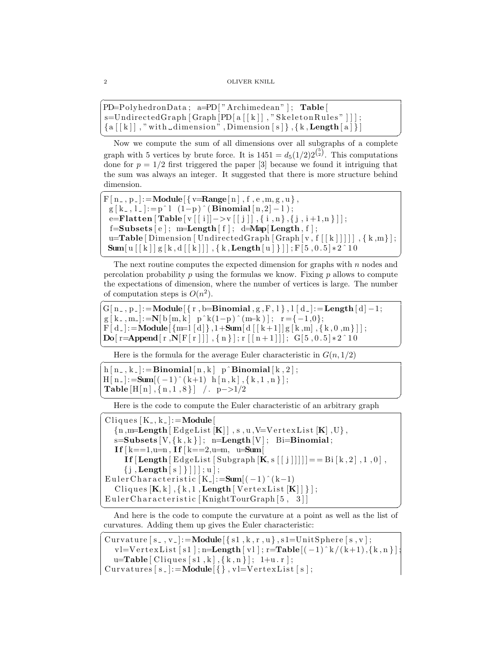```
\overline{a}PD=PolyhedronData ; a=PD[ "Archimedean " ] ; Table [
s=UndirectedGraph [Graph [PD [a [ [k]], "SkeletonRules" ]] ];
{a | [k]|, "with dimension", Dimension[s]},{k, Length[a]}
```
✝ ✆ Now we compute the sum of all dimensions over all subgraphs of a complete graph with 5 vertices by brute force. It is  $1451 = d_5(1/2)2^{{5 \choose 2}}$ . This computations done for  $p = 1/2$  first triggered the paper [3] because we found it intriguing that the sum was always an integer. It suggested that there is more structure behind dimension.

```
F[n_-, p_-]: = Module \{\overline{v}=Range [n], f, e, m, g, u\},\g[k_-, l_-]:=p^l (1-p)^(Binomial[n,2]-1);e=Flatten [Table [ v [[i]]->v [[j]] , {i , n}, {j , i+1, n}] ];
 f=Subsets[e]; m=Length[f]; d=Map[Length,f];u=Table [Dimension [UndirectedGraph [Graph [v, f [[k]]]]], {k,m}];
 Sum [u[[k]]g[k,d[[k]]],\{k,Length[u]\}]]; F[5,0.5]*2^10
```
The next routine computes the expected dimension for graphs with  $n$  nodes and percolation probability  $p$  using the formulas we know. Fixing  $p$  allows to compute the expectations of dimension, where the number of vertices is large. The number of computation steps is  $O(n^2)$ .

✝ ✆

```
G[n_-, p_-] := Module[\{r, b = Binomial, g, F, l\}, l [ d_-] := Length[d] - 1;g[k_-,m_-]:=N[b[m,k] p^k(1-p)^m(m-k)]; r = \{-1,0\};F[d_{-}]:=Module\{\{m=1 \mid d\}\}, 1+\text{Sum}[d\left[ [k+1] \mid g[k,m], \{k, 0, m\} \right]\};Do[ r=Append [ r , N[ F [ r ]]] , { n } ]; r [ [ n + 1]]]; G[ 5, 0.5 | *2^10\left( \frac{1}{\sqrt{2}}\right) \left( \frac{1}{\sqrt{2}}\right) \left( \frac{1}{\sqrt{2}}\right) \left( \frac{1}{\sqrt{2}}\right) \left( \frac{1}{\sqrt{2}}\right) \left( \frac{1}{\sqrt{2}}\right) \left( \frac{1}{\sqrt{2}}\right) \left( \frac{1}{\sqrt{2}}\right) \left( \frac{1}{\sqrt{2}}\right) \left( \frac{1}{\sqrt{2}}\right)
```
Here is the formula for the average Euler characteristic in  $G(n, 1/2)$ 

```
h[n_-,k_-]:=\text{Binomial}[n,k] p^Binomial [k,2];
H[n_-]: = Sum[(-1)^{(k+1)} h [n, k], { k, 1, n } ];
Table [H[n], \{n, 1, 8\}] /. p->1/2
✝ ✆
```
Here is the code to compute the Euler characteristic of an arbitrary graph

```
Cliques [K_-, k_-]:=Module[{n, m=Length | EdgeList [K]|, s, u, V=VertexList [K], U},s=Subsets [V, {k, k}]; n=Length [V]; Bi=Binomial;
  If k == 1, u = n, If k == 2, u = m, u = SumIf [\text{Length} [ E d \text{gel} \text{ist} [ Subgraph [K, s [[j]]]]] ] = Bi [k, 2], 1, 0],
     \{j, Length [s] \}]]; u];
Euler Characteristic [K_-]:=\text{Sum}[(-1)^{(k-1)}Cliques [K, k], \{k, 1, \text{Length} [VertexList [K]] } ];
Euler Characteristic [KnightTourGraph [5, 3]]
✝ ✆
```
And here is the code to compute the curvature at a point as well as the list of curvatures. Adding them up gives the Euler characteristic:

```
Curvature [s_-, v_-]:=Module \{\text{s1}, \text{k}, \text{r}, \text{u}\}, \text{s1}=UnitSphere [s, v];
   v = Vert \, \text{dist}[s1]; \text{n} = \text{Length}[v1]; \text{r} = \text{Table}[(-1)^k / (k+1), \{k, n\}];u=Table [Cliques [s1, k], {k, n}]; 1+u.r;
Curvatures [s_-]:=Module\{\}, vl=VertexList [s];
```